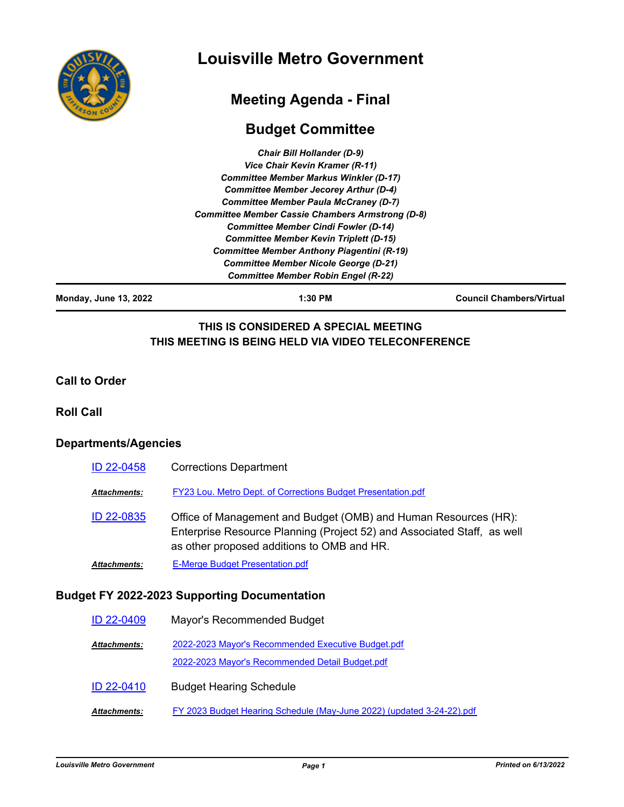

# **Louisville Metro Government**

# **Meeting Agenda - Final**

# **Budget Committee**

| <b>Chair Bill Hollander (D-9)</b>                       |
|---------------------------------------------------------|
| Vice Chair Kevin Kramer (R-11)                          |
| <b>Committee Member Markus Winkler (D-17)</b>           |
| <b>Committee Member Jecorey Arthur (D-4)</b>            |
| <b>Committee Member Paula McCraney (D-7)</b>            |
| <b>Committee Member Cassie Chambers Armstrong (D-8)</b> |
| <b>Committee Member Cindi Fowler (D-14)</b>             |
| <b>Committee Member Kevin Triplett (D-15)</b>           |
| <b>Committee Member Anthony Piagentini (R-19)</b>       |
| <b>Committee Member Nicole George (D-21)</b>            |
| <b>Committee Member Robin Engel (R-22)</b>              |

**Monday, June 13, 2022 1:30 PM Council Chambers/Virtual**

## **THIS IS CONSIDERED A SPECIAL MEETING THIS MEETING IS BEING HELD VIA VIDEO TELECONFERENCE**

#### **Call to Order**

#### **Roll Call**

### **Departments/Agencies**

| ID 22-0458          | <b>Corrections Department</b>                                                                                                                                                            |
|---------------------|------------------------------------------------------------------------------------------------------------------------------------------------------------------------------------------|
| Attachments:        | <b>FY23 Lou. Metro Dept. of Corrections Budget Presentation.pdf</b>                                                                                                                      |
| ID 22-0835          | Office of Management and Budget (OMB) and Human Resources (HR):<br>Enterprise Resource Planning (Project 52) and Associated Staff, as well<br>as other proposed additions to OMB and HR. |
| <b>Attachments:</b> | <b>E-Merge Budget Presentation.pdf</b>                                                                                                                                                   |

## **Budget FY 2022-2023 Supporting Documentation**

| ID 22-0409          | Mayor's Recommended Budget                                                                            |
|---------------------|-------------------------------------------------------------------------------------------------------|
| <b>Attachments:</b> | 2022-2023 Mayor's Recommended Executive Budget.pdf<br>2022-2023 Mayor's Recommended Detail Budget.pdf |
| <b>ID 22-0410</b>   | <b>Budget Hearing Schedule</b>                                                                        |
| <b>Attachments:</b> | FY 2023 Budget Hearing Schedule (May-June 2022) (updated 3-24-22).pdf                                 |